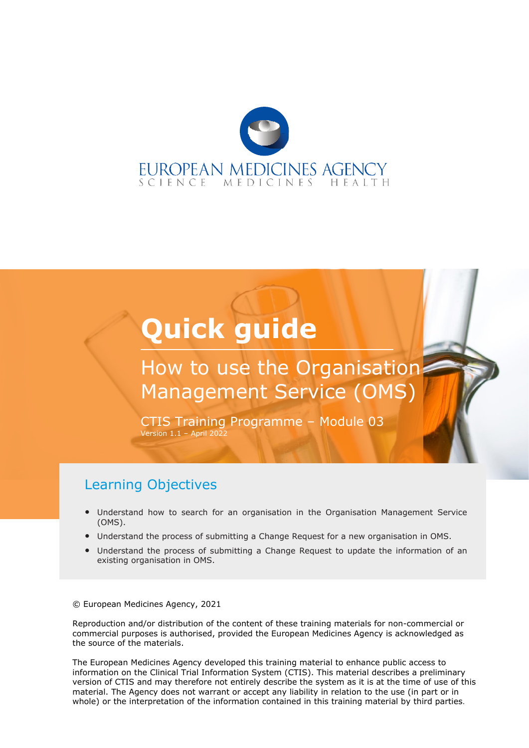

# **Quick guide**

## How to use the Organisation: Management Service (OMS)

CTIS Training Programme – Module 03 Version  $1.1$  – April 2022

#### Learning Objectives

- Understand how to search for an organisation in the Organisation Management Service (OMS).
- Understand the process of submitting a Change Request for a new organisation in OMS.
- Understand the process of submitting a Change Request to update the information of an existing organisation in OMS.

© European Medicines Agency, 2021

Reproduction and/or distribution of the content of these training materials for non-commercial or commercial purposes is authorised, provided the European Medicines Agency is acknowledged as the source of the materials.

The European Medicines Agency developed this training material to enhance public access to information on the Clinical Trial Information System (CTIS). This material describes a preliminary version of CTIS and may therefore not entirely describe the system as it is at the time of use of this material. The Agency does not warrant or accept any liability in relation to the use (in part or in whole) or the interpretation of the information contained in this training material by third parties.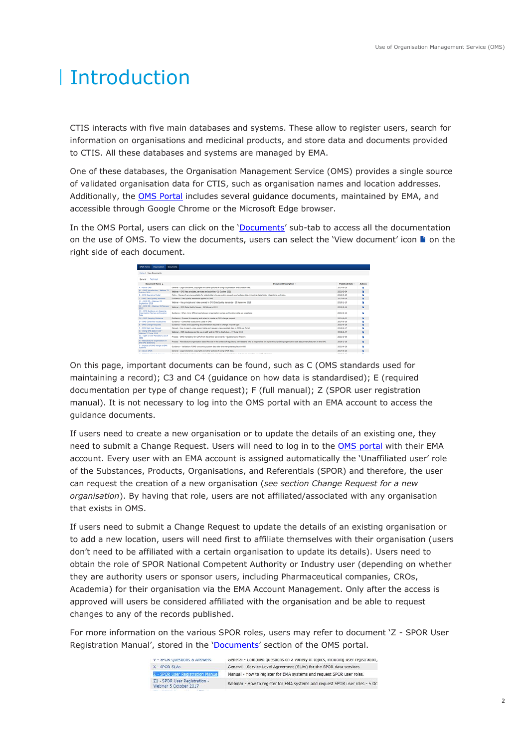## Introduction

CTIS interacts with five main databases and systems. These allow to register users, search for information on organisations and medicinal products, and store data and documents provided to CTIS. All these databases and systems are managed by EMA.

One of these databases, the Organisation Management Service (OMS) provides a single source of validated organisation data for CTIS, such as organisation names and location addresses. Additionally, the [OMS Portal](https://spor.ema.europa.eu/omswi/#/) includes several guidance documents, maintained by EMA, and accessible through Google Chrome or the Microsoft Edge browser.

In the OMS Portal, users can click on the '[Documents](https://spor.ema.europa.eu/omswi/#/viewDocuments)' sub-tab to access all the documentation on the use of OMS. To view the documents, users can select the 'View document' icon  $\blacksquare$  on the right side of each document.

| Hone / View Documents                                              |                                                                                                                                                                                              |                       |                |
|--------------------------------------------------------------------|----------------------------------------------------------------------------------------------------------------------------------------------------------------------------------------------|-----------------------|----------------|
|                                                                    |                                                                                                                                                                                              |                       |                |
| General Technical                                                  |                                                                                                                                                                                              |                       |                |
| <b>Decisional Name A</b>                                           | <b>Becomest Description</b>                                                                                                                                                                  | <b>Published Date</b> | Actions        |
| <b>A - About ONS</b>                                               | General - Legal disclaimer, copyright and other policies of using Organization and Location data.                                                                                            | 2017-06-26            | ٠              |
| A1 - ORS benduction - Webhar 21<br>October 2021                    | Webinar - ORS Key principles, services and activities - 21 October 2021.                                                                                                                     | 2621-82-04            | ٠              |
| <b>B - OHS Counting Holel</b>                                      | Policy - Range of services available for statistictibus to use and/or respont next-updated data, including statistictibur interactions and roles.                                            | 2018-09-25            |                |
| C - OHS Data Qualify standards                                     | Guidance - Data quality standards applied in CHS.                                                                                                                                            | 2017-06-16            | $\blacksquare$ |
| C1 - 0HS DQ - Walshar 25<br><b>Generier 2018</b>                   | Webliner - Key principles and rules coupond in DHS Data Quality standards - 26 September 2018                                                                                                | 2018-11-19            |                |
| C2 + OHS DO + Wellingy 24 Relevance<br>,,,,                        | Welcher : OHS Data Quality Securi : 26 Petruary 2019.                                                                                                                                        | 2019-06-16            | ٠              |
| C3 - OHS Quidence on Assessing<br>Organization Names and Location. | Guidance - Whan move differences between organization names and bustinn data are acceptable                                                                                                  | 2021-02-16            |                |
| C4 - OPS Marging Guidance                                          | Guidance - Process for mapping and when to create an DIS change request                                                                                                                      | 2621-06-02            | $\blacksquare$ |
| B - 086 Cantraliat Vocabularies                                    | Guidance - Committed uncelularies used in GMS.                                                                                                                                               | 2017-06-16            |                |
| E - OHS Change Requests                                            | Guidance - Rules and Supporting documentation required by change request type                                                                                                                | 2621-06-28            |                |
| F - DWL Wah User Harvard                                           | Nanual : How to search, view, export data and request a new/updated data in OHS was Portal.                                                                                                  | 2018-04-17            |                |
| G - Using OHS data in eAF -<br>Webmar 27 June 2018                 | Webliner - ORS benderage and its use in aAF and in CESF in the future - 27 June 2018.                                                                                                        | 2018-06-27            | ٠              |
| 61 - OM on AM Randelony use of<br>cars.                            | Process - ORS mandatory for CAPs from November 1st onwards - Coastions and Answers                                                                                                           | 3521-35-56            | ٠              |
| It i Manufacturer organisations in<br>the CHS dictionary           | Process - Manufacturer organisation data Mecycle in the context of requisitory activities and who is responsible for registration/updating organisation data about manufacturers in the OHS. | 2018-12-18            | ٠              |
| 1 - Smowrts of CAVS marge on ENA<br><b>EVIDENTS</b>                | Guidance - Validation of (IHS consuming system data after the merge takes place in (IHS)                                                                                                     | 2621-04-26            |                |
| U - About SACIL                                                    | General - Legal disclaimer, copyright and other policies of using SPOR data.                                                                                                                 | 2017-06-26            | ٠              |
| <b>STATISTICS</b>                                                  |                                                                                                                                                                                              | between seven with    |                |

On this page, important documents can be found, such as C (OMS standards used for maintaining a record); C3 and C4 (guidance on how data is standardised); E (required documentation per type of change request); F (full manual); Z (SPOR user registration manual). It is not necessary to log into the OMS portal with an EMA account to access the guidance documents.

If users need to create a new organisation or to update the details of an existing one, they need to submit a Change Request. Users will need to log in to the [OMS portal](https://spor.ema.europa.eu/omswi/#/) with their EMA account. Every user with an EMA account is assigned automatically the 'Unaffiliated user' role of the Substances, Products, Organisations, and Referentials (SPOR) and therefore, the user can request the creation of a new organisation (*see section Change Request for a new organisation*). By having that role, users are not affiliated/associated with any organisation that exists in OMS.

If users need to submit a Change Request to update the details of an existing organisation or to add a new location, users will need first to affiliate themselves with their organisation (users don't need to be affiliated with a certain organisation to update its details). Users need to obtain the role of SPOR National Competent Authority or Industry user (depending on whether they are authority users or sponsor users, including Pharmaceutical companies, CROs, Academia) for their organisation via the EMA Account Management. Only after the access is approved will users be considered affiliated with the organisation and be able to request changes to any of the records published.

For more information on the various SPOR roles, users may refer to document 'Z - SPOR User Registration Manual', stored in the '[Documents](https://spor.ema.europa.eu/omswi/#/viewDocuments)' section of the OMS portal.

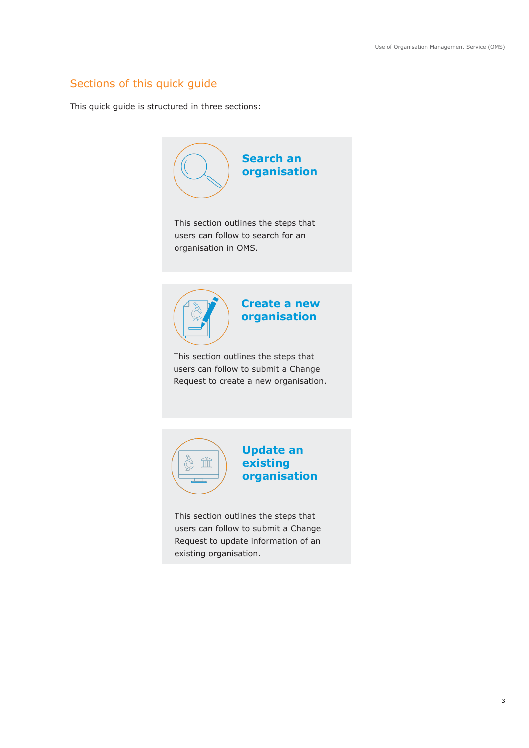#### Sections of this quick guide

This quick guide is structured in three sections:





**Update an existing organisation**

This section outlines the steps that users can follow to submit a Change Request to update information of an existing organisation.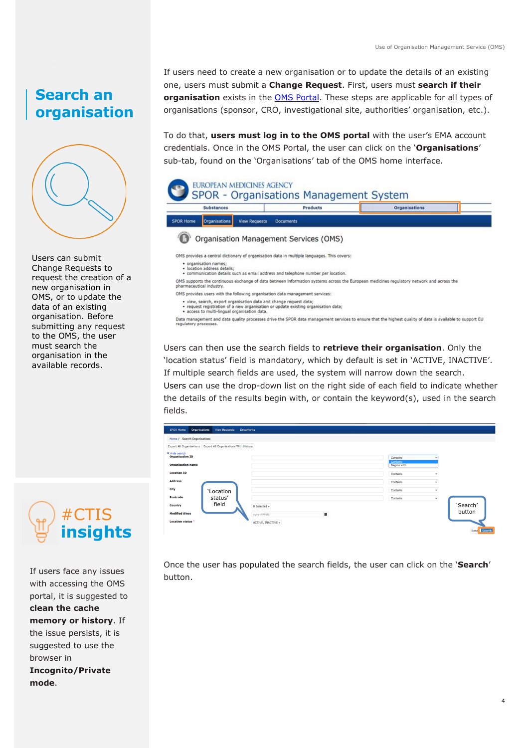### **Search an organisation**



Users can submit Change Requests to request the creation of a new organisation in OMS, or to update the data of an existing organisation. Before submitting any request to the OMS, the user must search the organisation in the available records.



If users face any issues with accessing the OMS portal, it is suggested to **clean the cache memory or history**. If the issue persists, it is suggested to use the browser in **Incognito/Private mode**.

If users need to create a new organisation or to update the details of an existing one, users must submit a **Change Request**. First, users must **search if their organisation** exists in the [OMS Portal.](https://spor.ema.europa.eu/omswi/#/) These steps are applicable for all types of organisations (sponsor, CRO, investigational site, authorities' organisation, etc.).

To do that, **users must log in to the OMS portal** with the user's EMA account credentials. Once in the OMS Portal, the user can click on the '**Organisations**' sub-tab, found on the 'Organisations' tab of the OMS home interface.



e communication details such as email address and telephone number per location.<br>OMS supports the continuous exchange of data between information systems across the European medicines regulatory network and across the<br>phar

- OMS provides users with the following organisation data management services:
	- view, search, export organisation data and change request data;<br>request registration of a new organisation or update existing organisation data;<br>access to multi-lingual organisation data.
- 

Data management and data quality processes drive the SPOR data management services to ensure that the highest quality of data is available to support EU regulatory processes.

Users can then use the search fields to **retrieve their organisation**. Only the 'location status' field is mandatory, which by default is set in 'ACTIVE, INACTIVE'. If multiple search fields are used, the system will narrow down the search. Users can use the drop-down list on the right side of each field to indicate whether the details of the results begin with, or contain the keyword(s), used in the search fields.

| <b>Organisations</b><br><b>SPOR Home</b><br><b>View Requests</b><br><b>Documents</b> |                        |                                     |
|--------------------------------------------------------------------------------------|------------------------|-------------------------------------|
| Home / Search Organisations                                                          |                        |                                     |
| Export All Organisations Export All Organisations With History                       |                        |                                     |
| ▼ Hide search<br><b>Organisation ID</b><br><b>Organisation name</b>                  |                        | Contains<br>Contains<br>Begins with |
| <b>Location ID</b>                                                                   |                        | Contains<br>$\checkmark$            |
| <b>Address</b>                                                                       |                        | Contains<br>$\checkmark$            |
| City<br>'Location                                                                    |                        | Contains<br>$\checkmark$            |
| status'<br>Postcode                                                                  |                        | Contains<br>$\checkmark$            |
| field<br>Country                                                                     | 0 Selected -           |                                     |
| <b>Modified Since</b>                                                                | $\equiv$<br>yyyy-MM-dd |                                     |
| <b>Location status *</b>                                                             | ACTIVE, INACTIVE -     |                                     |
|                                                                                      |                        |                                     |

Once the user has populated the search fields, the user can click on the '**Search**' button.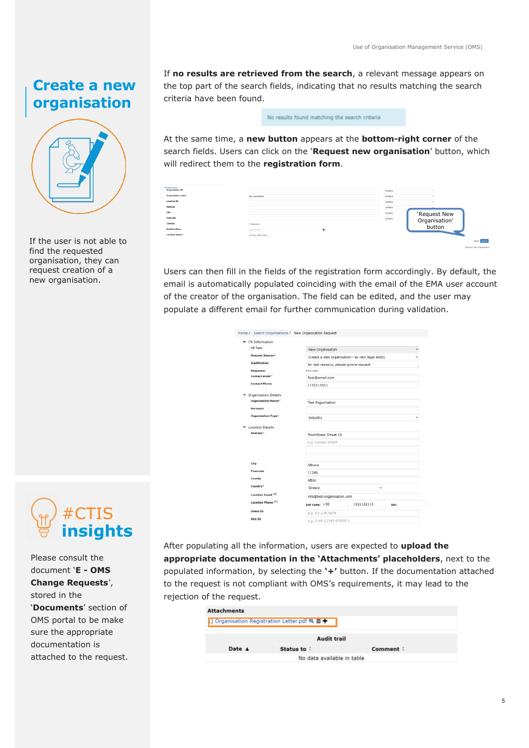#### **Create a new organisation**



If the user is not able to find the requested organisation, they can request creation of a new organisation.



Please consult the document '**E - OMS Change Requests**', stored in the '**Documents**' section of OMS portal to be make sure the appropriate documentation is attached to the request. If **no results are retrieved from the search**, a relevant message appears on the top part of the search fields, indicating that no results matching the search criteria have been found.

No results found matching the search criteria

At the same time, a **new button** appears at the **bottom-right corner** of the search fields. Users can click on the '**Request new organisation**' button, which will redirect them to the **registration form**.

| ▼ Hide search<br><b>Organisation ID</b> |                                          |   | Contains |                                         |
|-----------------------------------------|------------------------------------------|---|----------|-----------------------------------------|
| Organisation name                       | test organisation                        |   | Contains |                                         |
| <b>Location ID</b>                      |                                          |   | Contains |                                         |
| <b>Address</b>                          |                                          |   | Contains |                                         |
| City                                    |                                          |   | Contains |                                         |
| Postcode                                |                                          |   | Contains |                                         |
| Country                                 | __________<br>0 Selected v<br>__________ |   |          | 'Request New<br>Organisation'<br>button |
| <b>Modified Since</b>                   | yyyy-MM-dd                               | × |          |                                         |
| Location status                         | ACTIVE, INACTIVE -                       |   |          |                                         |
|                                         |                                          |   |          | Reset Search                            |

Users can then fill in the fields of the registration form accordingly. By default, the email is automatically populated coinciding with the email of the EMA user account of the creator of the organisation. The field can be edited, and the user may populate a different email for further communication during validation.

| CR Information                 |                            |                                                 |      |
|--------------------------------|----------------------------|-------------------------------------------------|------|
| <b>CR Type</b>                 | New Organisation           |                                                 |      |
| <b>Request Reason*</b>         |                            | Create a new organisation - as new legal entity |      |
| Justification                  |                            | for test reasons, please ignore request         |      |
| Requestor                      | First Last                 |                                                 |      |
| Contact email*                 | flast@email.com            |                                                 |      |
| <b>Contact Phone</b>           | 1111111111                 |                                                 |      |
| Organisation Details           |                            |                                                 |      |
| Organisation Name"             | <b>Test Organisation</b>   |                                                 |      |
| Acronym                        |                            |                                                 |      |
| Organisation Type <sup>+</sup> | Industry                   |                                                 |      |
| <b>Location Details</b>        |                            |                                                 |      |
| Address*                       | Promitheos Street 16       |                                                 |      |
|                                | e.g. Canary Wharf          |                                                 |      |
|                                |                            |                                                 |      |
| City                           | <b>Athens</b>              |                                                 |      |
| Postcode                       | 11146                      |                                                 |      |
| County                         | Attiki                     |                                                 |      |
| Country*                       | Greece                     | $\overline{\phantom{a}}$                        |      |
| <b>Location Email (1)</b>      | info@test-organisation.com |                                                 |      |
| Location Phone (1)             | Intl Code: +30             | 1111111111                                      | Ext: |
| <b>DUNS ID</b>                 | e.g. 01-234-5678           |                                                 |      |
| <b>GS1 ID</b>                  | e.g. 0-00-12345-67890-5    |                                                 |      |

After populating all the information, users are expected to **upload the appropriate documentation in the 'Attachments' placeholders**, next to the populated information, by selecting the **'+'** button. If the documentation attached to the request is not compliant with OMS's requirements, it may lead to the rejection of the request.

| <b>Attachments</b> |                                                                     |          |
|--------------------|---------------------------------------------------------------------|----------|
|                    | .) Organisation Registration Letter.pdf $\mathfrak{A} \mathbf{m} +$ |          |
|                    |                                                                     |          |
|                    | <b>Audit trail</b>                                                  |          |
| Date A             | Status to:                                                          | Comment: |
|                    | No data available in table                                          |          |
|                    |                                                                     |          |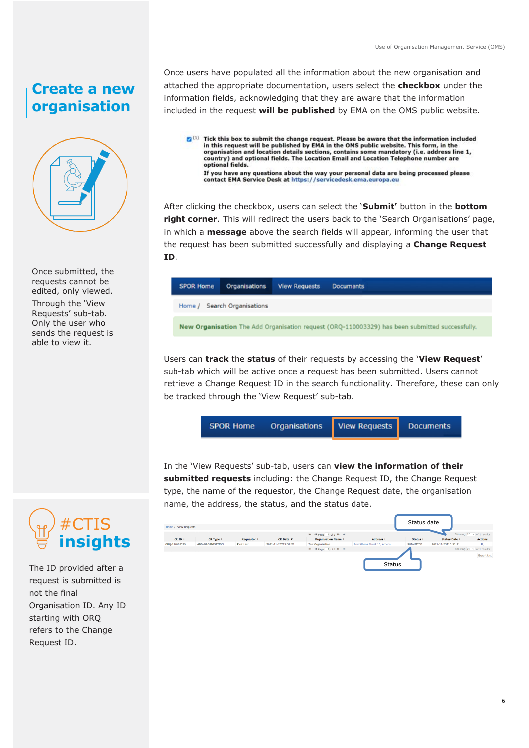### **Create a new organisation**



Once submitted, the requests cannot be edited, only viewed.

Through the 'View Requests' sub-tab. Only the user who sends the request is able to view it.

Once users have populated all the information about the new organisation and attached the appropriate documentation, users select the **checkbox** under the information fields, acknowledging that they are aware that the information included in the request **will be published** by EMA on the OMS public website.

<sup>[2]</sup> (1) Tick this box to submit the change request. Please be aware that the information included In this request will be published by EMA in the OMS public website. This form, in the organisation and location details sections, contains some mandatory (i.e. address line 1, country) and optional fields. The Location Email and Location Telephone number are optional fields. If you have any questions about the way your personal data are being processed please contact EMA Service Desk at https://servicedesk.ema.europa.eu

After clicking the checkbox, users can select the '**Submit'** button in the **bottom right corner**. This will redirect the users back to the 'Search Organisations' page, in which a **message** above the search fields will appear, informing the user that the request has been submitted successfully and displaying a **Change Request ID**.

| <b>SPOR Home</b> | <b>Organisations</b> | <b>View Requests</b> | <b>Documents</b>                                                                               |
|------------------|----------------------|----------------------|------------------------------------------------------------------------------------------------|
| Home /           | Search Organisations |                      |                                                                                                |
|                  |                      |                      | New Organisation The Add Organisation request (ORQ-110003329) has been submitted successfully. |

Users can **track** the **status** of their requests by accessing the '**View Request**' sub-tab which will be active once a request has been submitted. Users cannot retrieve a Change Request ID in the search functionality. Therefore, these can only be tracked through the 'View Request' sub-tab.

|  | <b>SPOR Home</b> | Organisations View Requests Documents |  |  |
|--|------------------|---------------------------------------|--|--|
|--|------------------|---------------------------------------|--|--|

In the 'View Requests' sub-tab, users can **view the information of their submitted requests** including: the Change Request ID, the Change Request type, the name of the requestor, the Change Request date, the organisation name, the address, the status, and the status date.

|                  | Home / View Requests |                  |                   |                     |                                                     |                              | Status date |                     |                                                  |  |
|------------------|----------------------|------------------|-------------------|---------------------|-----------------------------------------------------|------------------------------|-------------|---------------------|--------------------------------------------------|--|
|                  | CR ID:               | CR Type #        | Requestor:        | CR Date v           | H4 44 Page 1 of 1 H HH<br><b>Organisation Name:</b> | Address                      | Status      | <b>Status Date:</b> | Showing 20 $\vee$ of 1 results<br><b>Actions</b> |  |
| <b>insights</b>  | ORO-110003329        | ADD-ORGANISATION | <b>First Last</b> | 2021-11-23T13:51:21 | <b>Test Organisation</b><br>H4 44 Page 1 of 1 M M   | Promitheos Street 16, Athens | SUBMITTED   | 2021-11-23T13:51:21 | $\Omega$<br>Showing 20 $\vee$ of 1 results       |  |
|                  |                      |                  |                   |                     |                                                     |                              |             |                     | <b>Export List</b>                               |  |
| provided after a |                      |                  |                   |                     |                                                     | <b>Status</b>                |             |                     |                                                  |  |



The ID provided after a request is submitted is not the final Organisation ID. Any ID starting with ORQ refers to the Change Request ID.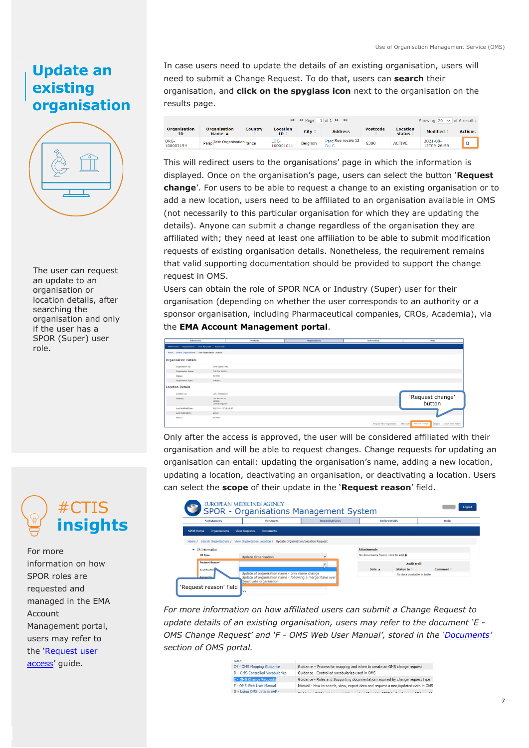#### **Update an existing organisation**



The user can request an update to an organisation or location details, after searching the organisation and only if the user has a SPOR (Super) user role.



For more information on how SPOR roles are requested and managed in the EMA Account Management portal, users may refer to the '[Request user](https://register.ema.europa.eu/identityiq/help/requestaccess.html.)  [access](https://register.ema.europa.eu/identityiq/help/requestaccess.html.)' quide.

In case users need to update the details of an existing organisation, users will need to submit a Change Request. To do that, users can **search** their organisation, and **click on the spyglass icon** next to the organisation on the results page.



This will redirect users to the organisations' page in which the information is displayed. Once on the organisation's page, users can select the button '**Request change**'. For users to be able to request a change to an existing organisation or to add a new location, users need to be affiliated to an organisation available in OMS (not necessarily to this particular organisation for which they are updating the details). Anyone can submit a change regardless of the organisation they are affiliated with; they need at least one affiliation to be able to submit modification requests of existing organisation details. Nonetheless, the requirement remains that valid supporting documentation should be provided to support the change request in OMS.

Users can obtain the role of SPOR NCA or Industry (Super) user for their organisation (depending on whether the user corresponds to an authority or a sponsor organisation, including Pharmaceutical companies, CROs, Academia), via the **EMA Account Management portal**.

| Substances                                               |                                                     | Products | Organisations | Referentials                         | Hele                                         |
|----------------------------------------------------------|-----------------------------------------------------|----------|---------------|--------------------------------------|----------------------------------------------|
| SPOR Home Organisations View Requests Documents          |                                                     |          |               |                                      |                                              |
| Home / Search Organisations / View Organisation Location |                                                     |          |               |                                      |                                              |
| Irganisation Details                                     |                                                     |          |               |                                      |                                              |
| Organisation ID:                                         | 080-100001482                                       |          |               |                                      |                                              |
| <b>Organisation Name:</b>                                | THE Organization                                    |          |               |                                      |                                              |
| Status:                                                  | <b>ACTIVE</b>                                       |          |               |                                      |                                              |
| Organisation Type:                                       | Industry                                            |          |               |                                      |                                              |
| ocation Details                                          |                                                     |          |               |                                      |                                              |
| Lecation ID:                                             | LOC-10000034                                        |          |               |                                      |                                              |
| Address                                                  | Tell A&S'ell, 17<br>Landon<br><b>United Kingdom</b> |          |               |                                      | 'Request change'<br>button                   |
| Last Modified Date:                                      | 2017-03-12715:16:57                                 |          |               |                                      |                                              |
| Last Hodified Buy                                        | admin                                               |          |               |                                      |                                              |
| Status:                                                  | ACTIVE                                              |          |               |                                      |                                              |
|                                                          |                                                     |          |               | Request New Organisation Add Locatic | Export Export With History<br>Request change |

Only after the access is approved, the user will be considered affiliated with their organisation and will be able to request changes. Change requests for updating an organisation can entail: updating the organisation's name, adding a new location, updating a location, deactivating an organisation, or deactivating a location. Users can select the **scope** of their update in the '**Request reason**' field.

|                                          | <b>EUROPEAN MEDICINES AGENCY</b><br>SPOR - Organisations Management System                                   |                      |                                    |                            | Logout   |
|------------------------------------------|--------------------------------------------------------------------------------------------------------------|----------------------|------------------------------------|----------------------------|----------|
| <b>Substances</b>                        | <b>Products</b>                                                                                              | <b>Organisations</b> | <b>Referentials</b>                |                            | Help     |
| <b>Organisations</b><br><b>SPOR Home</b> | <b>View Requests</b><br><b>Documents</b>                                                                     |                      |                                    |                            |          |
|                                          | Home / Search Organisations / View Organisation Location / Update Organisation/Location Request              |                      |                                    |                            |          |
| $\blacktriangleright$ CR Information     |                                                                                                              |                      | <b>Attachments</b>                 |                            |          |
| <b>CR Type</b>                           | <b>Update Organisation</b>                                                                                   | $\checkmark$         | No documents found, click to add + |                            |          |
| <b>Request Reason*</b>                   |                                                                                                              |                      |                                    | <b>Audit trail</b>         |          |
| <b>Justification</b>                     |                                                                                                              |                      | Date A                             | Status to:                 | Comment: |
| <b>Demastre</b>                          | Update of organisation name - only name change<br>Update of organisation name - following a merger/take over |                      |                                    | No data available in table |          |
| 'Request reason' field                   | Deactivate organisation<br><b>EXX</b>                                                                        |                      |                                    |                            |          |

*For more information on how affiliated users can submit a Change Request to update details of an existing organisation, users may refer to the document 'E - OMS Change Request' and 'F - OMS Web User Manual', stored in the '[Documents](https://spor.ema.europa.eu/omswi/#/viewDocuments)' section of [OMS portal.](https://spor.ema.europa.eu/omswi/#/)*

| -----                           |                                                                                 |
|---------------------------------|---------------------------------------------------------------------------------|
| C4 - OMS Mapping Guidance       | Guidance - Process for mapping and when to create an OMS change request         |
| D - OMS Controlled Vocabularies | Guidance - Controlled vocabularies used in OMS                                  |
| <b>E - OMS Change Requests</b>  | Guidance - Rules and Supporting documentation required by change request type   |
| F - OMS Web User Manual         | Manual - How to search, view, export data and request a new/updated data in OMS |
| G - Using OMS data in eAF -     |                                                                                 |